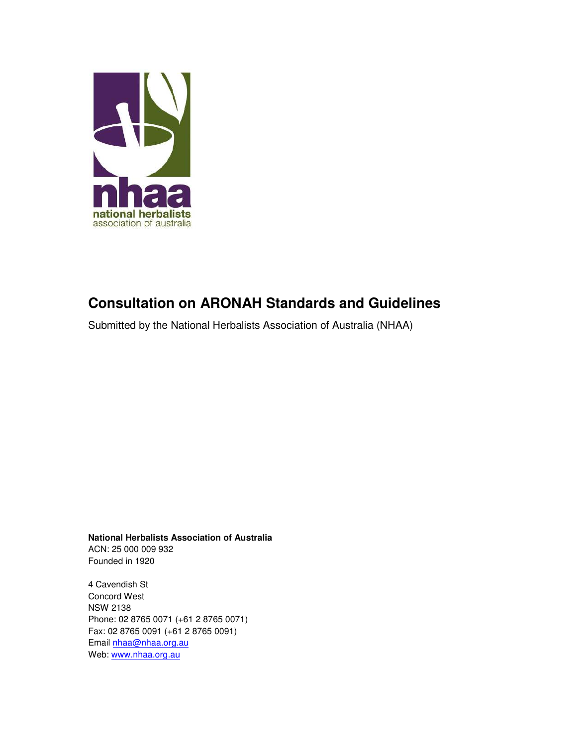

# **Consultation on ARONAH Standards and Guidelines**

Submitted by the National Herbalists Association of Australia (NHAA)

**National Herbalists Association of Australia** 

ACN: 25 000 009 932 Founded in 1920

4 Cavendish St Concord West NSW 2138 Phone: 02 8765 0071 (+61 2 8765 0071) Fax: 02 8765 0091 (+61 2 8765 0091) Email nhaa@nhaa.org.au Web: www.nhaa.org.au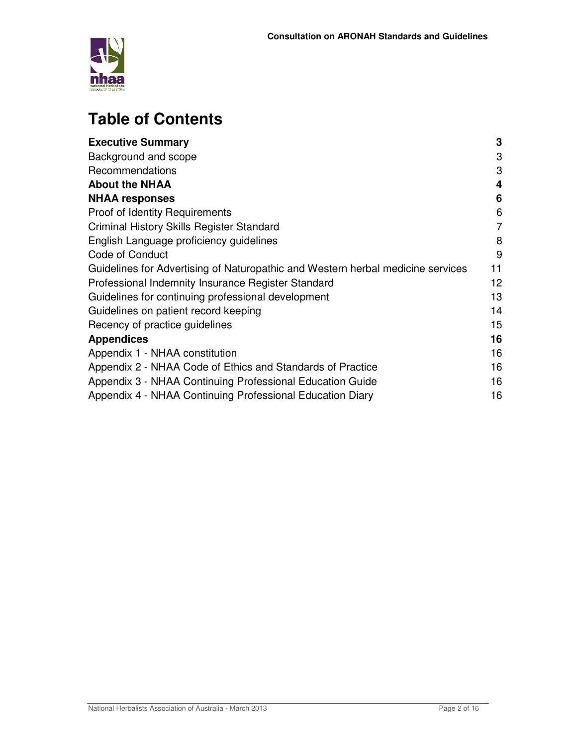

# **Table of Contents**

| <b>Executive Summary</b>                                                        | 3  |
|---------------------------------------------------------------------------------|----|
| Background and scope                                                            | 3  |
| Recommendations                                                                 | 3  |
| <b>About the NHAA</b>                                                           | 4  |
| <b>NHAA responses</b>                                                           | 6  |
| <b>Proof of Identity Requirements</b>                                           | 6  |
| Criminal History Skills Register Standard                                       | 7  |
| English Language proficiency guidelines                                         | 8  |
| Code of Conduct                                                                 | 9  |
| Guidelines for Advertising of Naturopathic and Western herbal medicine services | 11 |
| Professional Indemnity Insurance Register Standard                              | 12 |
| Guidelines for continuing professional development                              | 13 |
| Guidelines on patient record keeping                                            | 14 |
| Recency of practice guidelines                                                  | 15 |
| <b>Appendices</b>                                                               | 16 |
| Appendix 1 - NHAA constitution                                                  | 16 |
| Appendix 2 - NHAA Code of Ethics and Standards of Practice                      | 16 |
| Appendix 3 - NHAA Continuing Professional Education Guide                       | 16 |
| Appendix 4 - NHAA Continuing Professional Education Diary                       | 16 |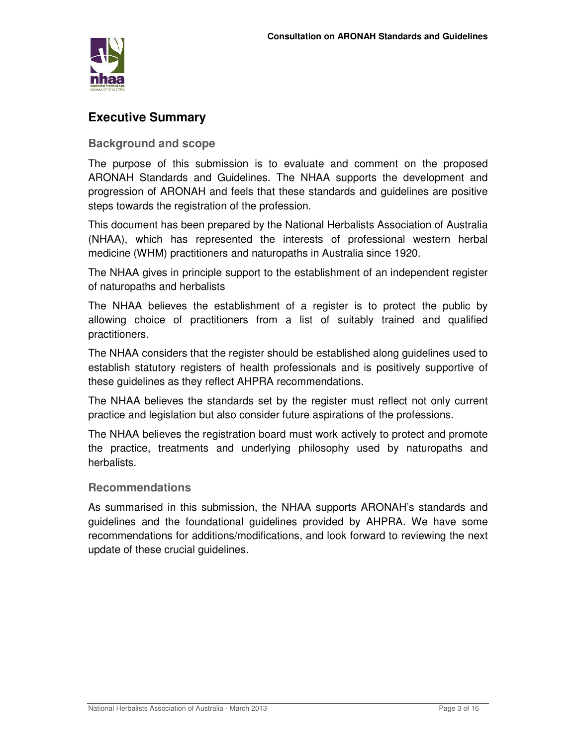

# **Executive Summary**

**Background and scope** 

The purpose of this submission is to evaluate and comment on the proposed ARONAH Standards and Guidelines. The NHAA supports the development and progression of ARONAH and feels that these standards and guidelines are positive steps towards the registration of the profession.

This document has been prepared by the National Herbalists Association of Australia (NHAA), which has represented the interests of professional western herbal medicine (WHM) practitioners and naturopaths in Australia since 1920.

The NHAA gives in principle support to the establishment of an independent register of naturopaths and herbalists

The NHAA believes the establishment of a register is to protect the public by allowing choice of practitioners from a list of suitably trained and qualified practitioners.

The NHAA considers that the register should be established along guidelines used to establish statutory registers of health professionals and is positively supportive of these guidelines as they reflect AHPRA recommendations.

The NHAA believes the standards set by the register must reflect not only current practice and legislation but also consider future aspirations of the professions.

The NHAA believes the registration board must work actively to protect and promote the practice, treatments and underlying philosophy used by naturopaths and herbalists.

### **Recommendations**

As summarised in this submission, the NHAA supports ARONAH's standards and guidelines and the foundational guidelines provided by AHPRA. We have some recommendations for additions/modifications, and look forward to reviewing the next update of these crucial guidelines.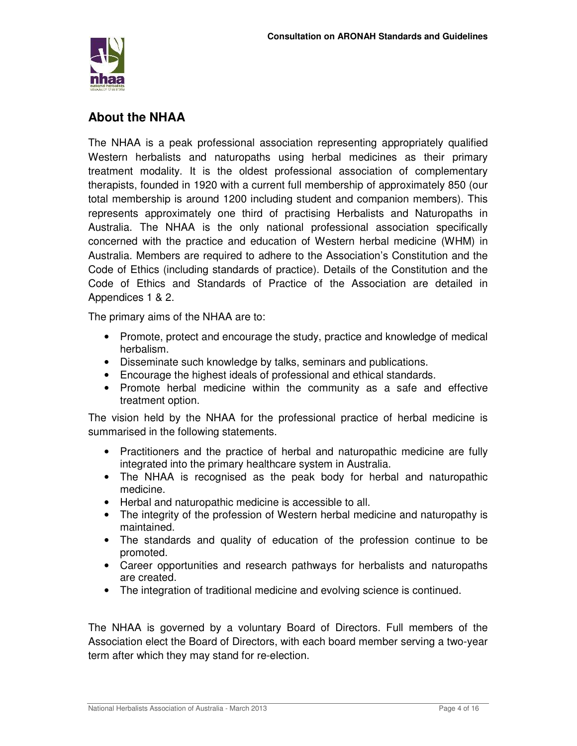

# **About the NHAA**

The NHAA is a peak professional association representing appropriately qualified Western herbalists and naturopaths using herbal medicines as their primary treatment modality. It is the oldest professional association of complementary therapists, founded in 1920 with a current full membership of approximately 850 (our total membership is around 1200 including student and companion members). This represents approximately one third of practising Herbalists and Naturopaths in Australia. The NHAA is the only national professional association specifically concerned with the practice and education of Western herbal medicine (WHM) in Australia. Members are required to adhere to the Association's Constitution and the Code of Ethics (including standards of practice). Details of the Constitution and the Code of Ethics and Standards of Practice of the Association are detailed in Appendices 1 & 2.

The primary aims of the NHAA are to:

- Promote, protect and encourage the study, practice and knowledge of medical herbalism.
- Disseminate such knowledge by talks, seminars and publications.
- Encourage the highest ideals of professional and ethical standards.
- Promote herbal medicine within the community as a safe and effective treatment option.

The vision held by the NHAA for the professional practice of herbal medicine is summarised in the following statements.

- Practitioners and the practice of herbal and naturopathic medicine are fully integrated into the primary healthcare system in Australia.
- The NHAA is recognised as the peak body for herbal and naturopathic medicine.
- Herbal and naturopathic medicine is accessible to all.
- The integrity of the profession of Western herbal medicine and naturopathy is maintained.
- The standards and quality of education of the profession continue to be promoted.
- Career opportunities and research pathways for herbalists and naturopaths are created.
- The integration of traditional medicine and evolving science is continued.

The NHAA is governed by a voluntary Board of Directors. Full members of the Association elect the Board of Directors, with each board member serving a two-year term after which they may stand for re-election.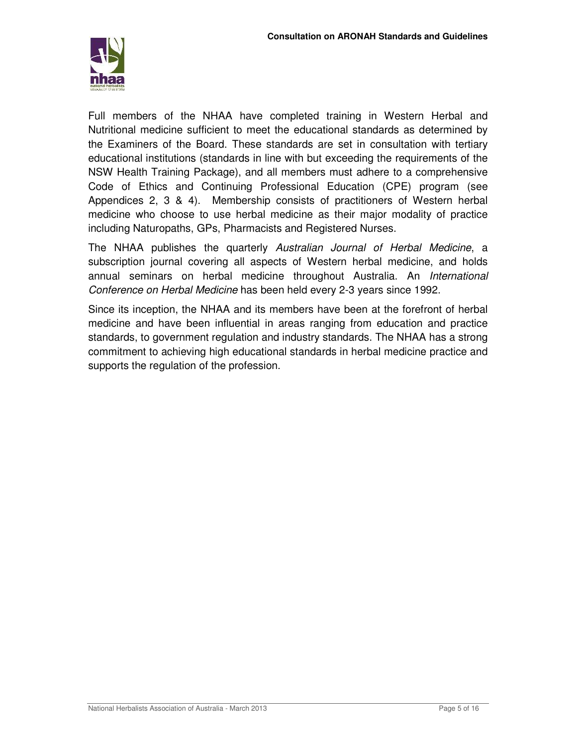

Full members of the NHAA have completed training in Western Herbal and Nutritional medicine sufficient to meet the educational standards as determined by the Examiners of the Board. These standards are set in consultation with tertiary educational institutions (standards in line with but exceeding the requirements of the NSW Health Training Package), and all members must adhere to a comprehensive Code of Ethics and Continuing Professional Education (CPE) program (see Appendices 2, 3 & 4). Membership consists of practitioners of Western herbal medicine who choose to use herbal medicine as their major modality of practice including Naturopaths, GPs, Pharmacists and Registered Nurses.

The NHAA publishes the quarterly Australian Journal of Herbal Medicine, a subscription journal covering all aspects of Western herbal medicine, and holds annual seminars on herbal medicine throughout Australia. An International Conference on Herbal Medicine has been held every 2-3 years since 1992.

Since its inception, the NHAA and its members have been at the forefront of herbal medicine and have been influential in areas ranging from education and practice standards, to government regulation and industry standards. The NHAA has a strong commitment to achieving high educational standards in herbal medicine practice and supports the regulation of the profession.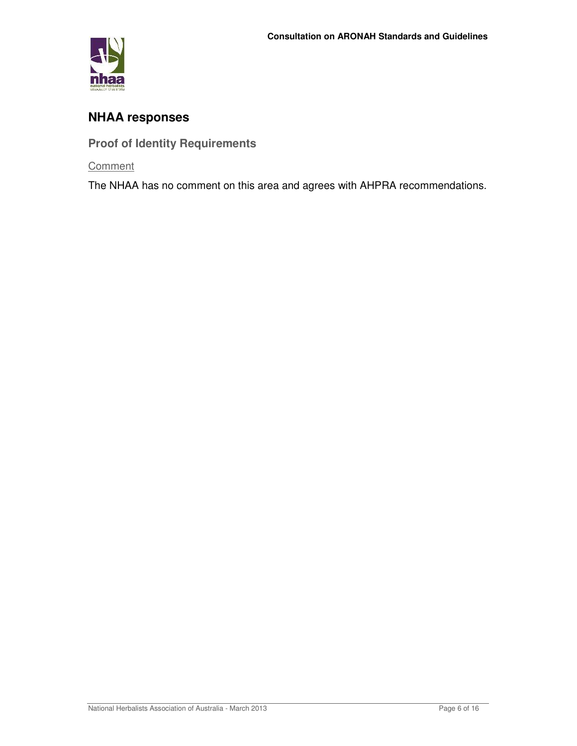

# **NHAA responses**

**Proof of Identity Requirements** 

**Comment**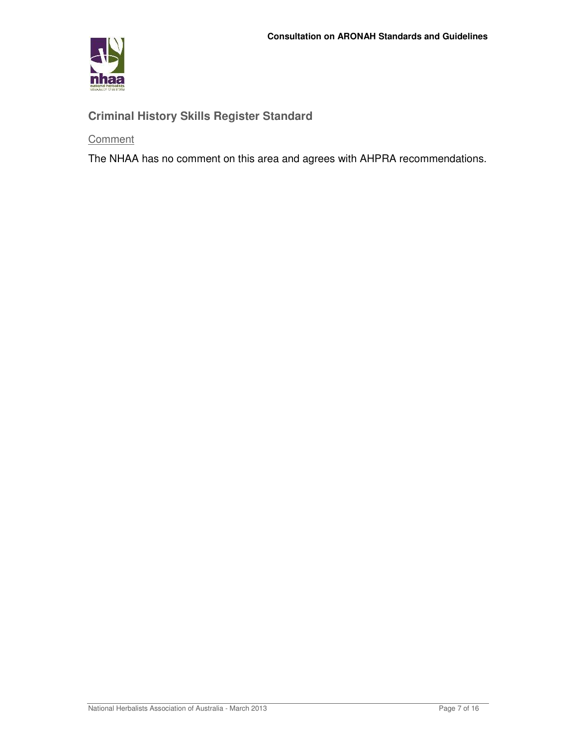

# **Criminal History Skills Register Standard**

**Comment**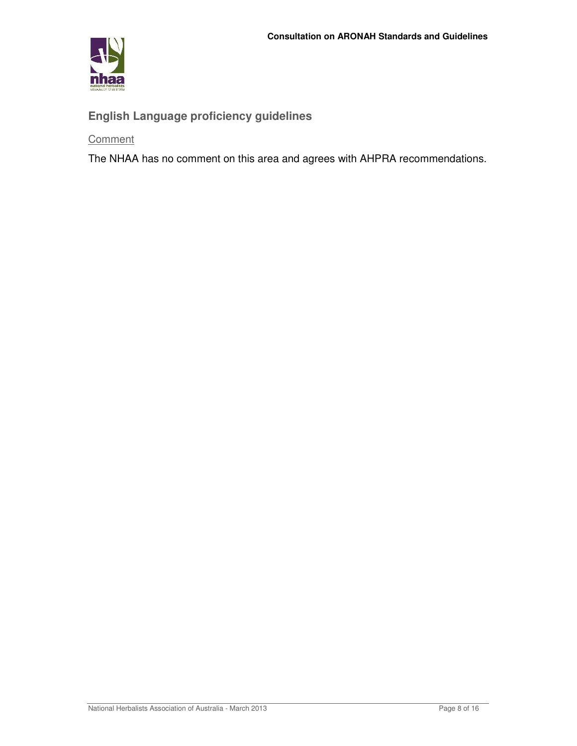

# **English Language proficiency guidelines**

**Comment**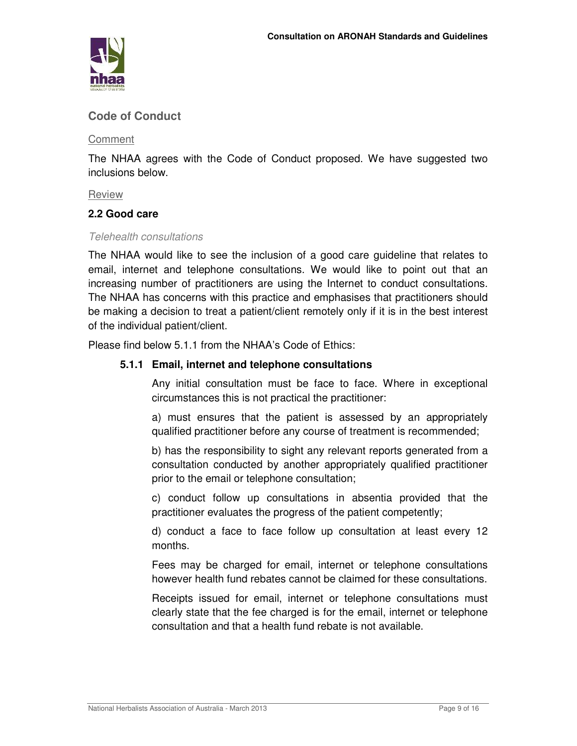

# **Code of Conduct**

**Comment** 

The NHAA agrees with the Code of Conduct proposed. We have suggested two inclusions below.

Review

### **2.2 Good care**

### Telehealth consultations

The NHAA would like to see the inclusion of a good care guideline that relates to email, internet and telephone consultations. We would like to point out that an increasing number of practitioners are using the Internet to conduct consultations. The NHAA has concerns with this practice and emphasises that practitioners should be making a decision to treat a patient/client remotely only if it is in the best interest of the individual patient/client.

Please find below 5.1.1 from the NHAA's Code of Ethics:

### **5.1.1 Email, internet and telephone consultations**

Any initial consultation must be face to face. Where in exceptional circumstances this is not practical the practitioner:

a) must ensures that the patient is assessed by an appropriately qualified practitioner before any course of treatment is recommended;

b) has the responsibility to sight any relevant reports generated from a consultation conducted by another appropriately qualified practitioner prior to the email or telephone consultation;

c) conduct follow up consultations in absentia provided that the practitioner evaluates the progress of the patient competently;

d) conduct a face to face follow up consultation at least every 12 months.

Fees may be charged for email, internet or telephone consultations however health fund rebates cannot be claimed for these consultations.

Receipts issued for email, internet or telephone consultations must clearly state that the fee charged is for the email, internet or telephone consultation and that a health fund rebate is not available.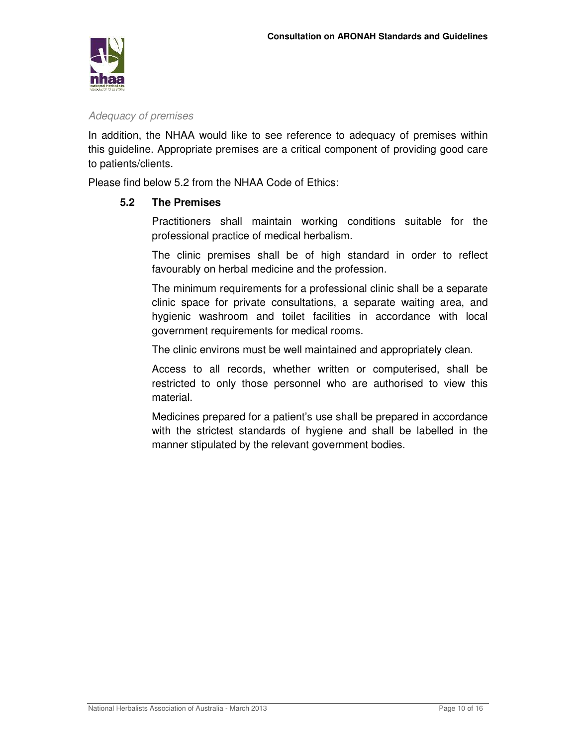

### Adequacy of premises

In addition, the NHAA would like to see reference to adequacy of premises within this guideline. Appropriate premises are a critical component of providing good care to patients/clients.

Please find below 5.2 from the NHAA Code of Ethics:

### **5.2 The Premises**

Practitioners shall maintain working conditions suitable for the professional practice of medical herbalism.

The clinic premises shall be of high standard in order to reflect favourably on herbal medicine and the profession.

The minimum requirements for a professional clinic shall be a separate clinic space for private consultations, a separate waiting area, and hygienic washroom and toilet facilities in accordance with local government requirements for medical rooms.

The clinic environs must be well maintained and appropriately clean.

Access to all records, whether written or computerised, shall be restricted to only those personnel who are authorised to view this material.

Medicines prepared for a patient's use shall be prepared in accordance with the strictest standards of hygiene and shall be labelled in the manner stipulated by the relevant government bodies.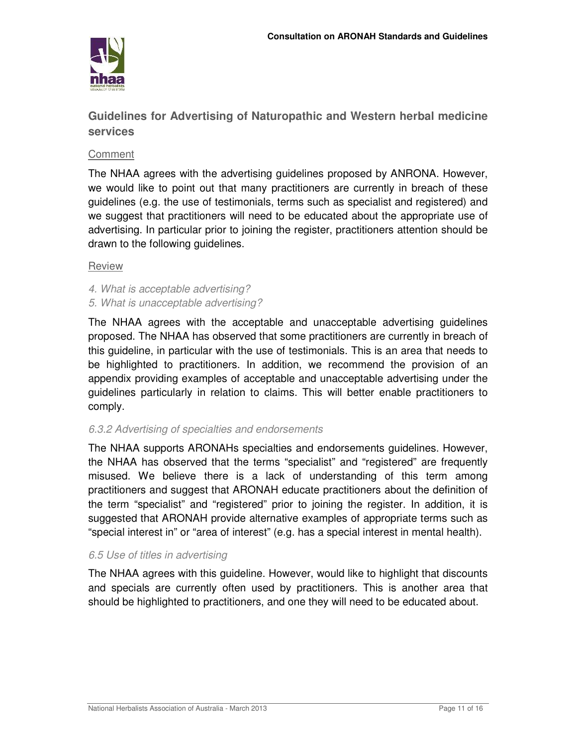

**Guidelines for Advertising of Naturopathic and Western herbal medicine services** 

### Comment

The NHAA agrees with the advertising guidelines proposed by ANRONA. However, we would like to point out that many practitioners are currently in breach of these guidelines (e.g. the use of testimonials, terms such as specialist and registered) and we suggest that practitioners will need to be educated about the appropriate use of advertising. In particular prior to joining the register, practitioners attention should be drawn to the following guidelines.

### Review

- 4. What is acceptable advertising?
- 5. What is unacceptable advertising?

The NHAA agrees with the acceptable and unacceptable advertising guidelines proposed. The NHAA has observed that some practitioners are currently in breach of this guideline, in particular with the use of testimonials. This is an area that needs to be highlighted to practitioners. In addition, we recommend the provision of an appendix providing examples of acceptable and unacceptable advertising under the guidelines particularly in relation to claims. This will better enable practitioners to comply.

### 6.3.2 Advertising of specialties and endorsements

The NHAA supports ARONAHs specialties and endorsements guidelines. However, the NHAA has observed that the terms "specialist" and "registered" are frequently misused. We believe there is a lack of understanding of this term among practitioners and suggest that ARONAH educate practitioners about the definition of the term "specialist" and "registered" prior to joining the register. In addition, it is suggested that ARONAH provide alternative examples of appropriate terms such as "special interest in" or "area of interest" (e.g. has a special interest in mental health).

### 6.5 Use of titles in advertising

The NHAA agrees with this guideline. However, would like to highlight that discounts and specials are currently often used by practitioners. This is another area that should be highlighted to practitioners, and one they will need to be educated about.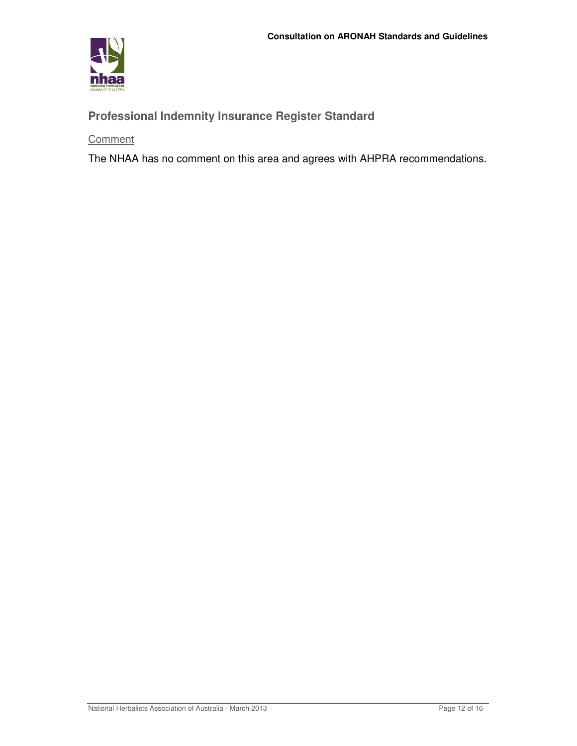

# **Professional Indemnity Insurance Register Standard**

**Comment**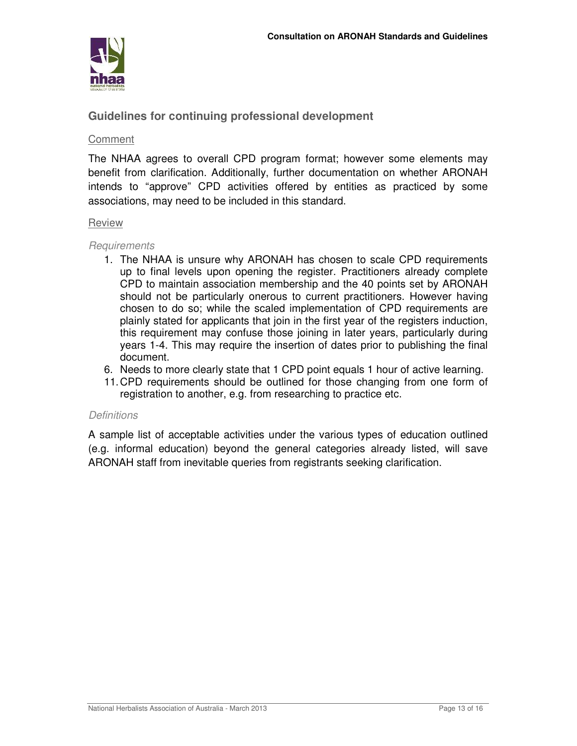

## **Guidelines for continuing professional development**

#### **Comment**

The NHAA agrees to overall CPD program format; however some elements may benefit from clarification. Additionally, further documentation on whether ARONAH intends to "approve" CPD activities offered by entities as practiced by some associations, may need to be included in this standard.

### Review

#### **Requirements**

- 1. The NHAA is unsure why ARONAH has chosen to scale CPD requirements up to final levels upon opening the register. Practitioners already complete CPD to maintain association membership and the 40 points set by ARONAH should not be particularly onerous to current practitioners. However having chosen to do so; while the scaled implementation of CPD requirements are plainly stated for applicants that join in the first year of the registers induction, this requirement may confuse those joining in later years, particularly during years 1-4. This may require the insertion of dates prior to publishing the final document.
- 6. Needs to more clearly state that 1 CPD point equals 1 hour of active learning.
- 11. CPD requirements should be outlined for those changing from one form of registration to another, e.g. from researching to practice etc.

### **Definitions**

A sample list of acceptable activities under the various types of education outlined (e.g. informal education) beyond the general categories already listed, will save ARONAH staff from inevitable queries from registrants seeking clarification.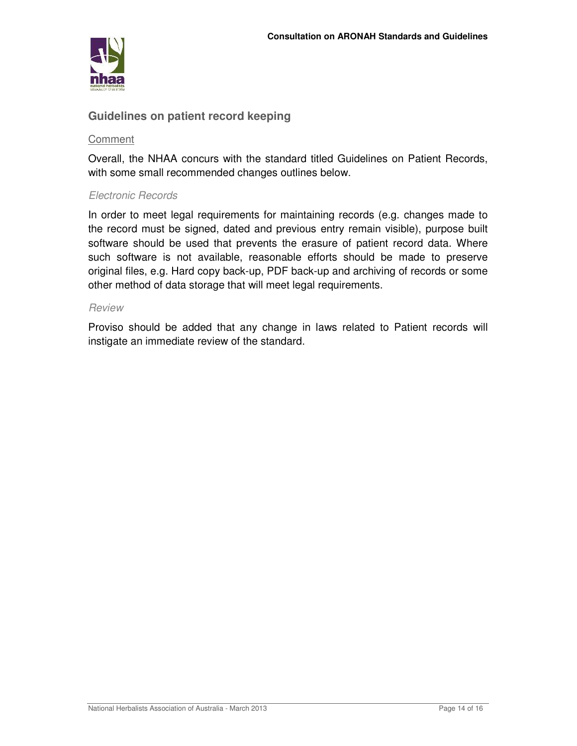

### **Guidelines on patient record keeping**

### Comment

Overall, the NHAA concurs with the standard titled Guidelines on Patient Records, with some small recommended changes outlines below.

### Electronic Records

In order to meet legal requirements for maintaining records (e.g. changes made to the record must be signed, dated and previous entry remain visible), purpose built software should be used that prevents the erasure of patient record data. Where such software is not available, reasonable efforts should be made to preserve original files, e.g. Hard copy back-up, PDF back-up and archiving of records or some other method of data storage that will meet legal requirements.

#### Review

Proviso should be added that any change in laws related to Patient records will instigate an immediate review of the standard.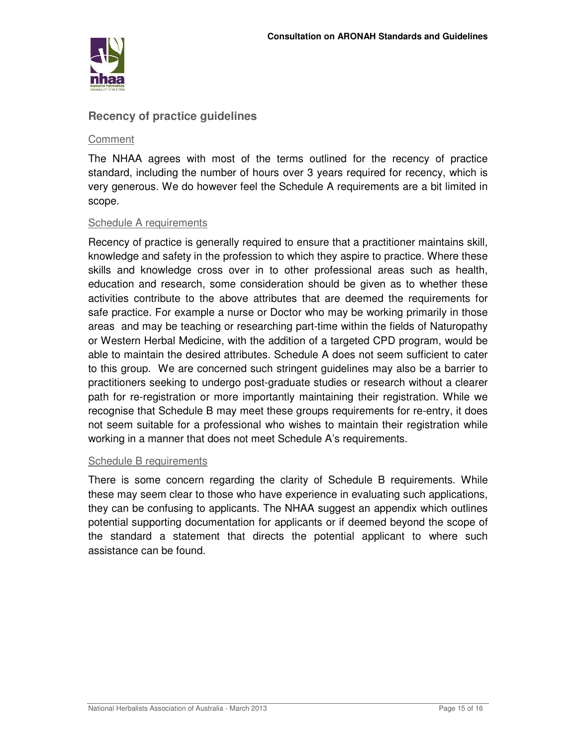

### **Recency of practice guidelines**

### **Comment**

The NHAA agrees with most of the terms outlined for the recency of practice standard, including the number of hours over 3 years required for recency, which is very generous. We do however feel the Schedule A requirements are a bit limited in scope.

### Schedule A requirements

Recency of practice is generally required to ensure that a practitioner maintains skill, knowledge and safety in the profession to which they aspire to practice. Where these skills and knowledge cross over in to other professional areas such as health, education and research, some consideration should be given as to whether these activities contribute to the above attributes that are deemed the requirements for safe practice. For example a nurse or Doctor who may be working primarily in those areas and may be teaching or researching part-time within the fields of Naturopathy or Western Herbal Medicine, with the addition of a targeted CPD program, would be able to maintain the desired attributes. Schedule A does not seem sufficient to cater to this group. We are concerned such stringent guidelines may also be a barrier to practitioners seeking to undergo post-graduate studies or research without a clearer path for re-registration or more importantly maintaining their registration. While we recognise that Schedule B may meet these groups requirements for re-entry, it does not seem suitable for a professional who wishes to maintain their registration while working in a manner that does not meet Schedule A's requirements.

### Schedule B requirements

There is some concern regarding the clarity of Schedule B requirements. While these may seem clear to those who have experience in evaluating such applications, they can be confusing to applicants. The NHAA suggest an appendix which outlines potential supporting documentation for applicants or if deemed beyond the scope of the standard a statement that directs the potential applicant to where such assistance can be found.